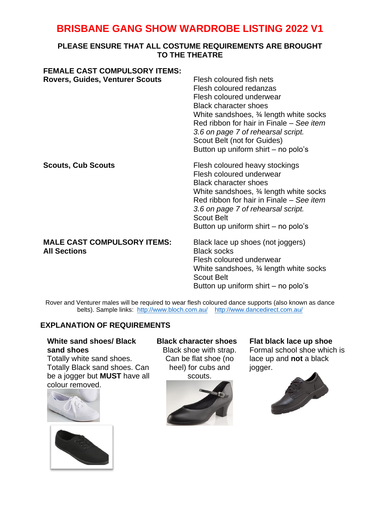# **BRISBANE GANG SHOW WARDROBE LISTING 2022 V1**

## **PLEASE ENSURE THAT ALL COSTUME REQUIREMENTS ARE BROUGHT TO THE THEATRE**

| <b>FEMALE CAST COMPULSORY ITEMS:</b><br><b>Rovers, Guides, Venturer Scouts</b> | Flesh coloured fish nets<br>Flesh coloured redanzas<br>Flesh coloured underwear<br><b>Black character shoes</b><br>White sandshoes, 34 length white socks<br>Red ribbon for hair in Finale - See item<br>3.6 on page 7 of rehearsal script.<br>Scout Belt (not for Guides)<br>Button up uniform shirt – no polo's |
|--------------------------------------------------------------------------------|-------------------------------------------------------------------------------------------------------------------------------------------------------------------------------------------------------------------------------------------------------------------------------------------------------------------|
| <b>Scouts, Cub Scouts</b>                                                      | Flesh coloured heavy stockings<br>Flesh coloured underwear<br><b>Black character shoes</b><br>White sandshoes, 34 length white socks<br>Red ribbon for hair in Finale - See item<br>3.6 on page 7 of rehearsal script.<br><b>Scout Belt</b><br>Button up uniform shirt - no polo's                                |
| <b>MALE CAST COMPULSORY ITEMS:</b><br><b>All Sections</b>                      | Black lace up shoes (not joggers)<br><b>Black socks</b><br>Flesh coloured underwear<br>White sandshoes, $\frac{3}{4}$ length white socks<br><b>Scout Belt</b><br>Button up uniform shirt – no polo's                                                                                                              |

Rover and Venturer males will be required to wear flesh coloured dance supports (also known as dance belts). Sample links: [http://www.bloch.com.au/](http://www.bloch.com.au/mens-underwear/2453124-d53124m-bloch-mickey-mens-underwear.html) [http://www.dancedirect.com.au/](http://www.dancedirect.com.au/energtiks-male-support-underwear-men/)

# **EXPLANATION OF REQUIREMENTS**

## **White sand shoes/ Black sand shoes**

Totally white sand shoes. Totally Black sand shoes. Can be a jogger but **MUST** have all colour removed.





**Black character shoes** Black shoe with strap. Can be flat shoe (no heel) for cubs and scouts.



**Flat black lace up shoe** Formal school shoe which is lace up and **not** a black jogger.

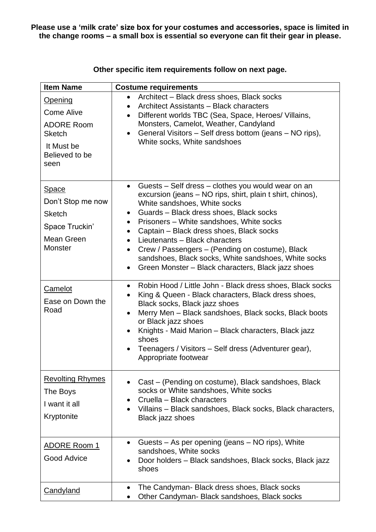**Please use a 'milk crate' size box for your costumes and accessories, space is limited in the change rooms – a small box is essential so everyone can fit their gear in please.** 

| <b>Item Name</b>                                                                                                  | <b>Costume requirements</b>                                                                                                                                                                                                                                                                                                                                                                                                                                                                                                                     |
|-------------------------------------------------------------------------------------------------------------------|-------------------------------------------------------------------------------------------------------------------------------------------------------------------------------------------------------------------------------------------------------------------------------------------------------------------------------------------------------------------------------------------------------------------------------------------------------------------------------------------------------------------------------------------------|
| <b>Opening</b><br><b>Come Alive</b><br><b>ADORE Room</b><br><b>Sketch</b><br>It Must be<br>Believed to be<br>seen | Architect - Black dress shoes, Black socks<br>Architect Assistants - Black characters<br>Different worlds TBC (Sea, Space, Heroes/ Villains,<br>$\bullet$<br>Monsters, Camelot, Weather, Candyland<br>General Visitors – Self dress bottom (jeans – NO rips),<br>$\bullet$<br>White socks, White sandshoes                                                                                                                                                                                                                                      |
| <b>Space</b><br>Don't Stop me now<br><b>Sketch</b><br>Space Truckin'<br>Mean Green<br>Monster                     | Guests – Self dress – clothes you would wear on an<br>$\bullet$<br>excursion (jeans – NO rips, shirt, plain t shirt, chinos),<br>White sandshoes, White socks<br>Guards - Black dress shoes, Black socks<br>$\bullet$<br>Prisoners - White sandshoes, White socks<br>$\bullet$<br>Captain - Black dress shoes, Black socks<br>٠<br>Lieutenants - Black characters<br>$\bullet$<br>Crew / Passengers - (Pending on costume), Black<br>sandshoes, Black socks, White sandshoes, White socks<br>Green Monster - Black characters, Black jazz shoes |
| Camelot<br>Ease on Down the<br>Road                                                                               | Robin Hood / Little John - Black dress shoes, Black socks<br>$\bullet$<br>King & Queen - Black characters, Black dress shoes,<br>Black socks, Black jazz shoes<br>Merry Men - Black sandshoes, Black socks, Black boots<br>or Black jazz shoes<br>Knights - Maid Marion - Black characters, Black jazz<br>$\bullet$<br>shoes<br>Teenagers / Visitors – Self dress (Adventurer gear),<br>Appropriate footwear                                                                                                                                    |
| <b>Revolting Rhymes</b><br>The Boys<br>I want it all<br>Kryptonite                                                | Cast – (Pending on costume), Black sandshoes, Black<br>socks or White sandshoes, White socks<br>Cruella - Black characters<br>Villains - Black sandshoes, Black socks, Black characters,<br>Black jazz shoes                                                                                                                                                                                                                                                                                                                                    |
| <b>ADORE Room 1</b><br><b>Good Advice</b>                                                                         | Guests – As per opening (jeans – NO rips), White<br>sandshoes, White socks<br>Door holders - Black sandshoes, Black socks, Black jazz<br>shoes                                                                                                                                                                                                                                                                                                                                                                                                  |
| <b>Candyland</b>                                                                                                  | The Candyman- Black dress shoes, Black socks<br>Other Candyman- Black sandshoes, Black socks                                                                                                                                                                                                                                                                                                                                                                                                                                                    |

**Other specific item requirements follow on next page.**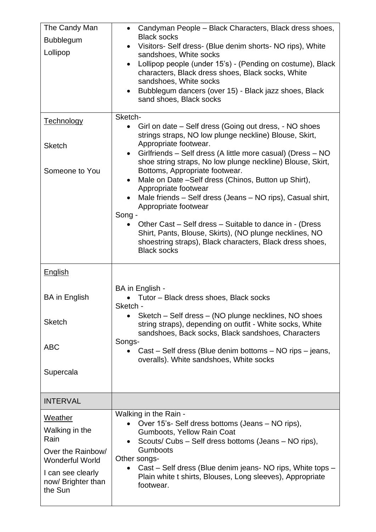| The Candy Man<br><b>Bubblegum</b><br>Lollipop                                                                                                            | Candyman People - Black Characters, Black dress shoes,<br>$\bullet$<br><b>Black socks</b><br>Visitors- Self dress- (Blue denim shorts- NO rips), White<br>$\bullet$<br>sandshoes, White socks<br>Lollipop people (under 15's) - (Pending on costume), Black<br>$\bullet$<br>characters, Black dress shoes, Black socks, White<br>sandshoes, White socks<br>Bubblegum dancers (over 15) - Black jazz shoes, Black<br>$\bullet$<br>sand shoes, Black socks                                                                                                                                                                                                                                                                                          |
|----------------------------------------------------------------------------------------------------------------------------------------------------------|---------------------------------------------------------------------------------------------------------------------------------------------------------------------------------------------------------------------------------------------------------------------------------------------------------------------------------------------------------------------------------------------------------------------------------------------------------------------------------------------------------------------------------------------------------------------------------------------------------------------------------------------------------------------------------------------------------------------------------------------------|
| <b>Technology</b><br><b>Sketch</b><br>Someone to You                                                                                                     | Sketch-<br>Girl on date – Self dress (Going out dress, - NO shoes<br>$\bullet$<br>strings straps, NO low plunge neckline) Blouse, Skirt,<br>Appropriate footwear.<br>Girlfriends - Self dress (A little more casual) (Dress - NO<br>$\bullet$<br>shoe string straps, No low plunge neckline) Blouse, Skirt,<br>Bottoms, Appropriate footwear.<br>Male on Date -Self dress (Chinos, Button up Shirt),<br>$\bullet$<br>Appropriate footwear<br>Male friends - Self dress (Jeans - NO rips), Casual shirt,<br>Appropriate footwear<br>Song -<br>Other Cast – Self dress – Suitable to dance in - (Dress<br>Shirt, Pants, Blouse, Skirts), (NO plunge necklines, NO<br>shoestring straps), Black characters, Black dress shoes,<br><b>Black socks</b> |
| <b>English</b><br><b>BA</b> in English<br><b>Sketch</b><br><b>ABC</b><br>Supercala                                                                       | BA in English -<br>• Tutor – Black dress shoes, Black socks<br>Sketch -<br>Sketch – Self dress – (NO plunge necklines, NO shoes<br>$\bullet$<br>string straps), depending on outfit - White socks, White<br>sandshoes, Back socks, Black sandshoes, Characters<br>Songs-<br>Cast – Self dress (Blue denim bottoms – NO rips – jeans,<br>overalls). White sandshoes, White socks                                                                                                                                                                                                                                                                                                                                                                   |
| <b>INTERVAL</b><br>Weather<br>Walking in the<br>Rain<br>Over the Rainbow/<br><b>Wonderful World</b><br>I can see clearly<br>now/Brighter than<br>the Sun | Walking in the Rain -<br>Over 15's- Self dress bottoms (Jeans – NO rips),<br>Gumboots, Yellow Rain Coat<br>Scouts/ Cubs - Self dress bottoms (Jeans - NO rips),<br>$\bullet$<br><b>Gumboots</b><br>Other songs-<br>Cast – Self dress (Blue denim jeans- NO rips, White tops –<br>Plain white t shirts, Blouses, Long sleeves), Appropriate<br>footwear.                                                                                                                                                                                                                                                                                                                                                                                           |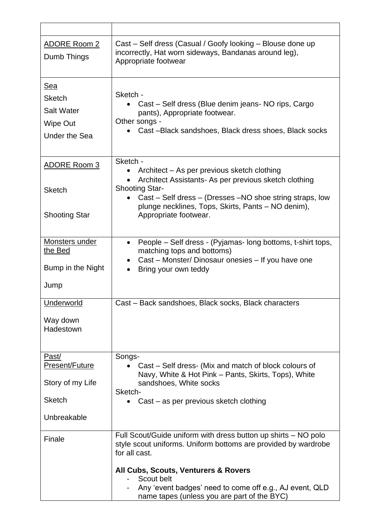| <b>ADORE Room 2</b><br>Dumb Things                                                   | Cast – Self dress (Casual / Goofy looking – Blouse done up<br>incorrectly, Hat worn sideways, Bandanas around leg),<br>Appropriate footwear                                                                                                                                                                       |
|--------------------------------------------------------------------------------------|-------------------------------------------------------------------------------------------------------------------------------------------------------------------------------------------------------------------------------------------------------------------------------------------------------------------|
| <u>Sea</u><br><b>Sketch</b><br><b>Salt Water</b><br>Wipe Out<br><b>Under the Sea</b> | Sketch -<br>Cast - Self dress (Blue denim jeans- NO rips, Cargo<br>pants), Appropriate footwear.<br>Other songs -<br>Cast-Black sandshoes, Black dress shoes, Black socks                                                                                                                                         |
| <b>ADORE Room 3</b><br><b>Sketch</b><br><b>Shooting Star</b>                         | Sketch -<br>Architect – As per previous sketch clothing<br>Architect Assistants- As per previous sketch clothing<br><b>Shooting Star-</b><br>Cast – Self dress – (Dresses – NO shoe string straps, low<br>plunge necklines, Tops, Skirts, Pants - NO denim),<br>Appropriate footwear.                             |
| <b>Monsters under</b><br>the Bed<br>Bump in the Night<br>Jump                        | People – Self dress - (Pyjamas- long bottoms, t-shirt tops,<br>$\bullet$<br>matching tops and bottoms)<br>Cast – Monster/ Dinosaur onesies – If you have one<br>Bring your own teddy                                                                                                                              |
| Underworld<br>Way down<br>Hadestown                                                  | Cast - Back sandshoes, Black socks, Black characters                                                                                                                                                                                                                                                              |
| Past/<br>Present/Future<br>Story of my Life<br><b>Sketch</b><br>Unbreakable          | Songs-<br>Cast – Self dress- (Mix and match of block colours of<br>Navy, White & Hot Pink - Pants, Skirts, Tops), White<br>sandshoes, White socks<br>Sketch-<br>Cast – as per previous sketch clothing                                                                                                            |
| Finale                                                                               | Full Scout/Guide uniform with dress button up shirts – NO polo<br>style scout uniforms. Uniform bottoms are provided by wardrobe<br>for all cast.<br>All Cubs, Scouts, Venturers & Rovers<br>Scout belt<br>Any 'event badges' need to come off e.g., AJ event, QLD<br>name tapes (unless you are part of the BYC) |